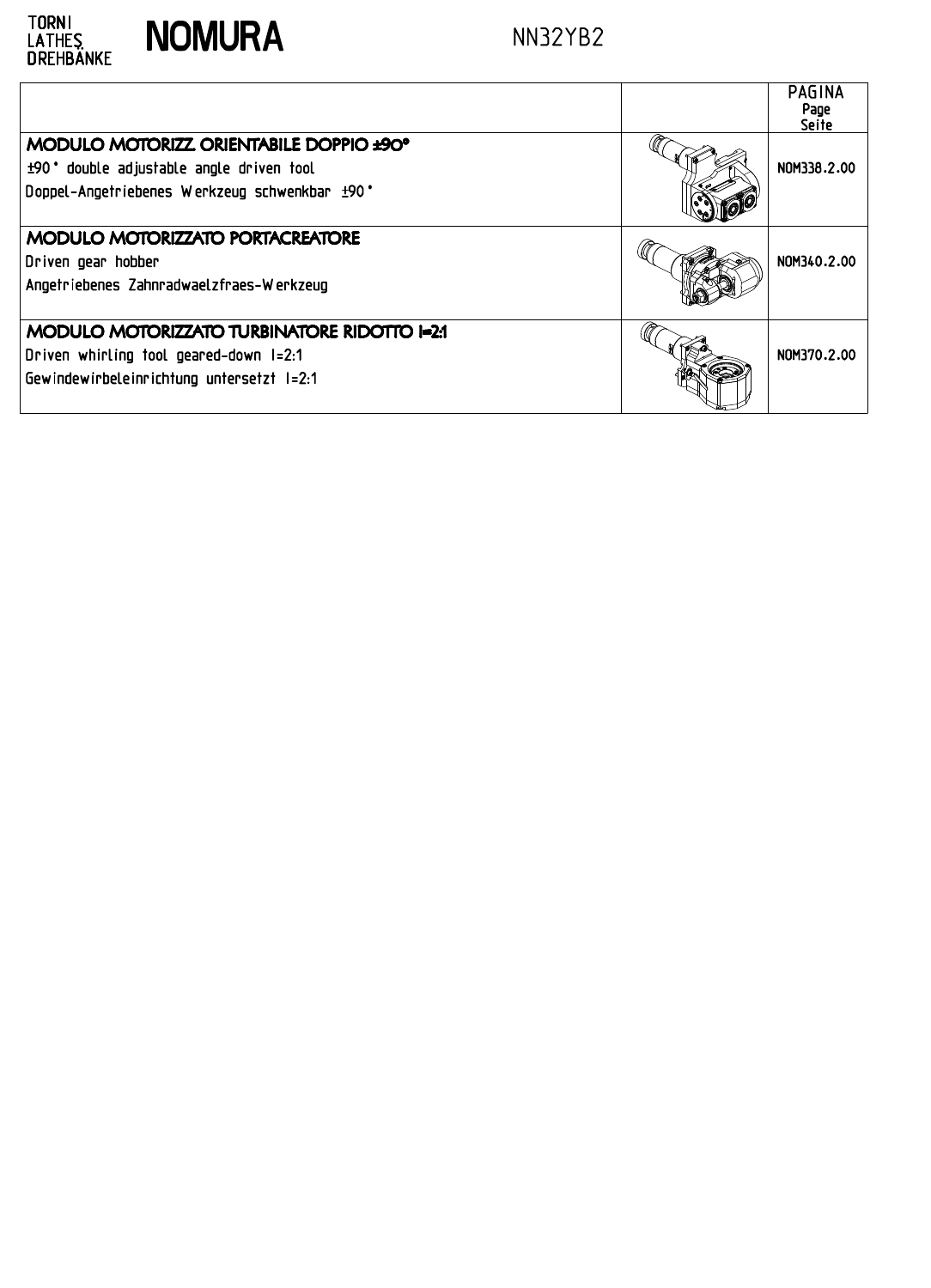

| TORNI<br>LATHES<br>DREHBÄNKE<br><b>NOMURA</b><br>NN32YB2                                                                                           |      | <b>PAGINA</b>                |
|----------------------------------------------------------------------------------------------------------------------------------------------------|------|------------------------------|
| MODULO MOTORIZZ ORIENTABILE DOPPIO ±90°<br>+90° double adjustable angle driven tool<br>Doppel-Angetriebenes Werkzeug schwenkbar ±90°               |      | Page<br>Seite<br>NOM338.2.00 |
| MODULO MOTORIZZATO PORTACREATORE<br>Driven gear hobber<br>Angetriebenes Zahnradwaelzfraes-Werkzeug<br>MODULO MOTORIZZATO TURBINATORE RIDOTTO I=2:1 | (ltt | NOM340.2.00                  |
| Driven whirling tool geared-down I=2:1<br>Gewindewirbeleinrichtung untersetzt I=2:1                                                                |      | NOM370.2.00                  |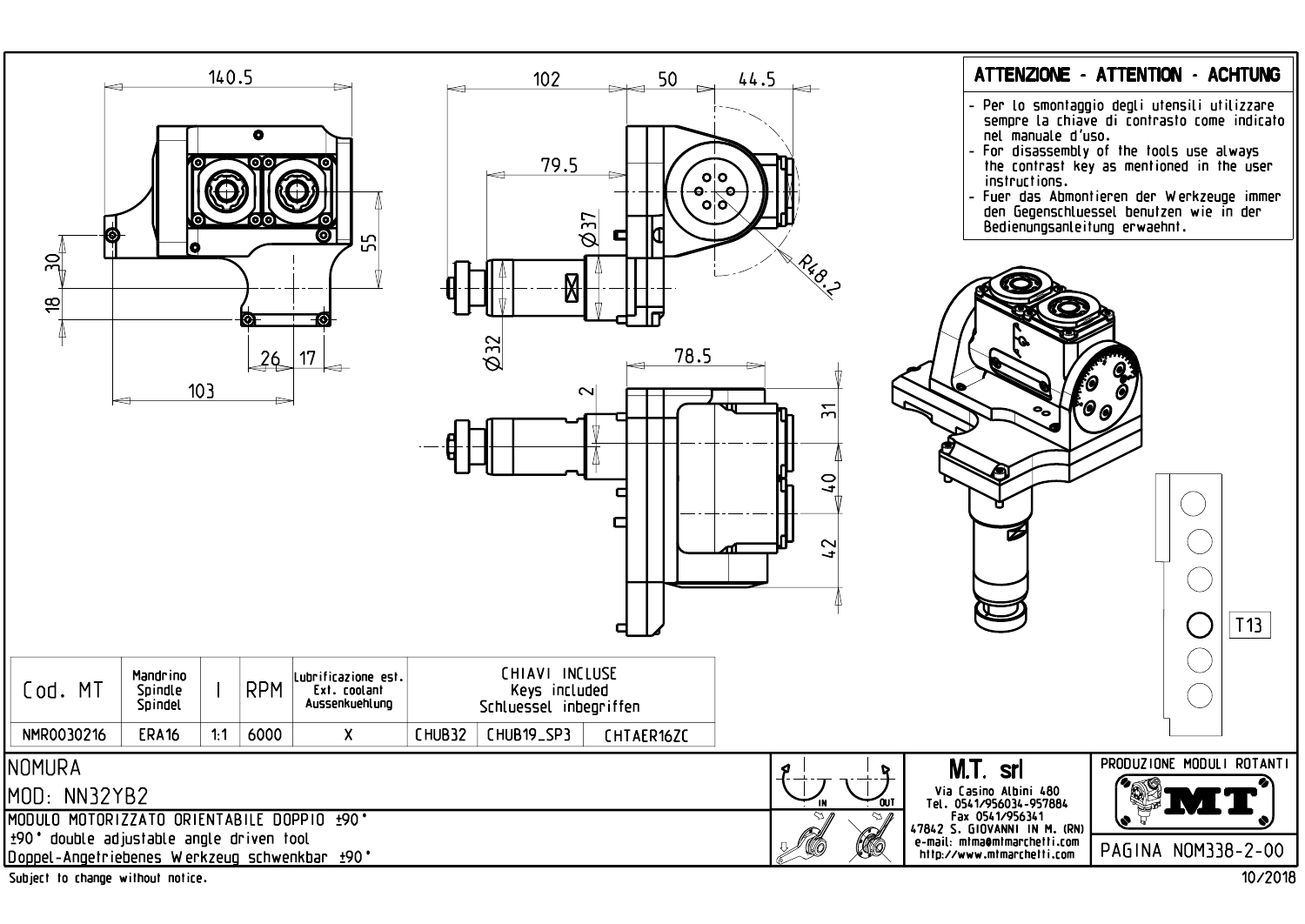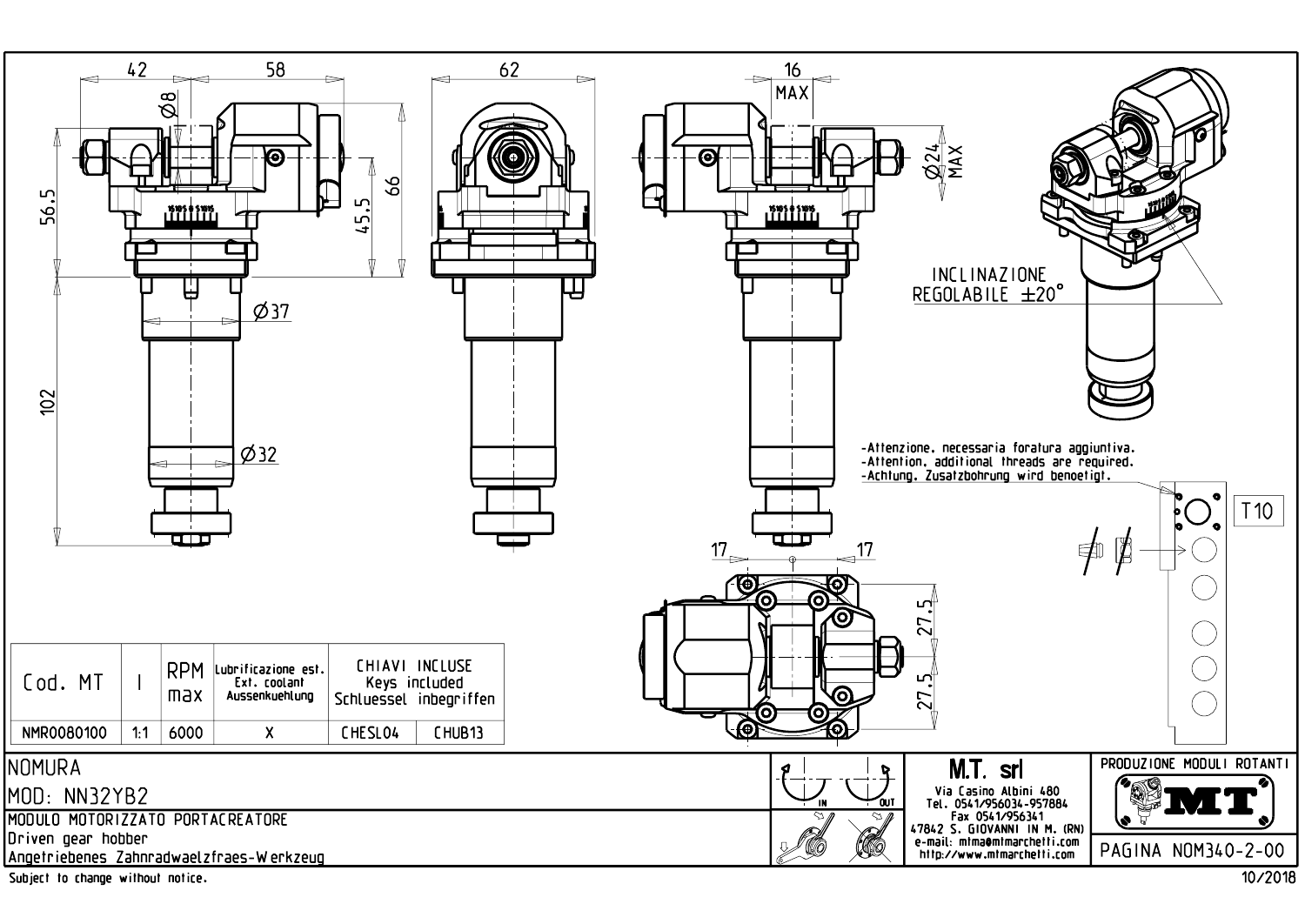